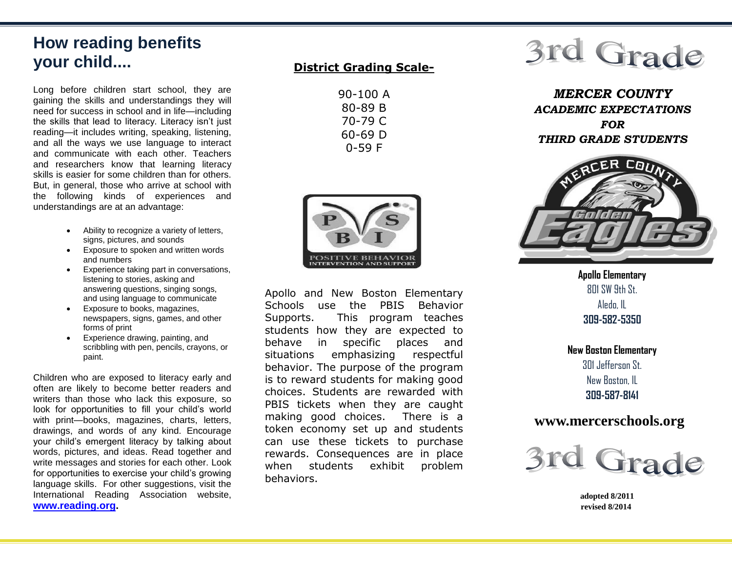# **How reading benefits your child....**

Long before children start school, they are gaining the skills and understandings they will need for success in school and in life—including the skills that lead to literacy. Literacy isn't just reading—it includes writing, speaking, listening, and all the ways we use language to interact and communicate with each other. Teachers and researchers know that learning literacy skills is easier for some children than for others. But, in general, those who arrive at school with the following kinds of experiences and understandings are at an advantage:

- Ability to recognize a variety of letters, signs, pictures, and sounds
- Exposure to spoken and written words and numbers
- Experience taking part in conversations, listening to stories, asking and answering questions, singing songs, and using language to communicate
- Exposure to books, magazines, newspapers, signs, games, and other forms of print
- Experience drawing, painting, and scribbling with pen, pencils, crayons, or paint.

Children who are exposed to literacy early and often are likely to become better readers and writers than those who lack this exposure, so look for opportunities to fill your child's world with print—books, magazines, charts, letters, drawings, and words of any kind. Encourage your child's emergent literacy by talking about words, pictures, and ideas. Read together and write messages and stories for each other. Look for opportunities to exercise your child's growing language skills. For other suggestions, visit the International Reading Association website, **[www.reading.org.](http://www.reading.org/)**

#### **District Grading Scale-**

| 90-100 A |
|----------|
| 80-89 B  |
| 70-79 C  |
| 60-69 D  |
| 0-59 F   |



Apollo and New Boston Elementary Schools use the PBIS Behavior Supports. This program teaches students how they are expected to behave in specific places and situations emphasizing respectful behavior. The purpose of the program is to reward students for making good choices. Students are rewarded with PBIS tickets when they are caught making good choices. There is a token economy set up and students can use these tickets to purchase rewards. Consequences are in place when students exhibit problem behaviors.

# 3rd Grade

*MERCER COUNTY ACADEMIC EXPECTATIONS FOR THIRD GRADE STUDENTS*



**Apollo Elementary** 801 SW 9th St. Aledo, IL **309-582-5350**

**New Boston Elementary** 301 Jefferson St. New Boston, IL **309-587-8141**

### **www.mercerschools.org**



 **adopted 8/2011 revised 8/2014**